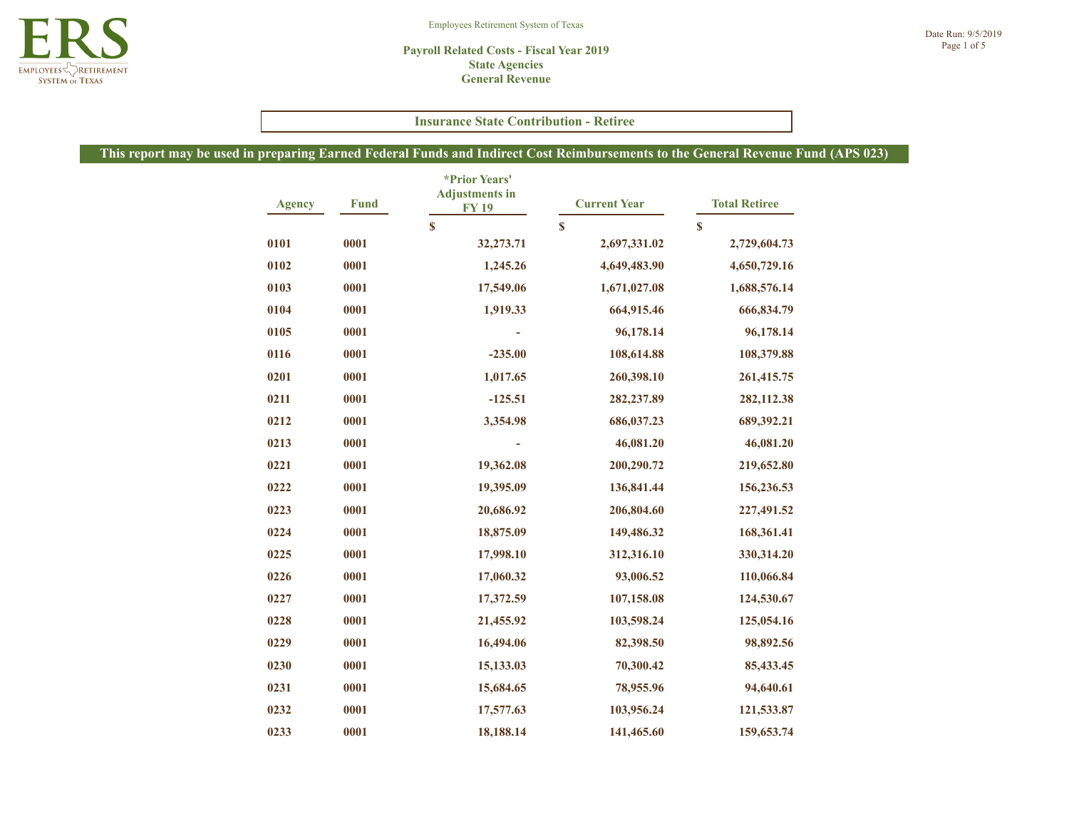

#### **Payroll Related Costs - Fiscal Year 2019 State Agencies General Revenue**

#### **Insurance State Contribution - Retiree**

| <b>Agency</b> | <b>Fund</b> | *Prior Years'<br><b>Adjustments in</b><br><b>FY19</b> | <b>Current Year</b> | <b>Total Retiree</b> |
|---------------|-------------|-------------------------------------------------------|---------------------|----------------------|
|               |             | $\boldsymbol{s}$                                      | $\mathbf{s}$        | \$                   |
| 0101          | 0001        | 32,273.71                                             | 2,697,331.02        | 2,729,604.73         |
| 0102          | 0001        | 1,245.26                                              | 4,649,483.90        | 4,650,729.16         |
| 0103          | 0001        | 17,549.06                                             | 1,671,027.08        | 1,688,576.14         |
| 0104          | 0001        | 1,919.33                                              | 664,915.46          | 666,834.79           |
| 0105          | 0001        |                                                       | 96,178.14           | 96,178.14            |
| 0116          | 0001        | $-235.00$                                             | 108,614.88          | 108,379.88           |
| 0201          | 0001        | 1,017.65                                              | 260,398.10          | 261,415.75           |
| 0211          | 0001        | $-125.51$                                             | 282, 237.89         | 282,112.38           |
| 0212          | 0001        | 3,354.98                                              | 686,037.23          | 689,392.21           |
| 0213          | 0001        |                                                       | 46,081.20           | 46,081.20            |
| 0221          | 0001        | 19,362.08                                             | 200,290.72          | 219,652.80           |
| 0222          | 0001        | 19,395.09                                             | 136,841.44          | 156,236.53           |
| 0223          | 0001        | 20,686.92                                             | 206,804.60          | 227,491.52           |
| 0224          | 0001        | 18,875.09                                             | 149,486.32          | 168,361.41           |
| 0225          | 0001        | 17,998.10                                             | 312,316.10          | 330,314.20           |
| 0226          | 0001        | 17,060.32                                             | 93,006.52           | 110,066.84           |
| 0227          | 0001        | 17,372.59                                             | 107,158.08          | 124,530.67           |
| 0228          | 0001        | 21,455.92                                             | 103,598.24          | 125,054.16           |
| 0229          | 0001        | 16,494.06                                             | 82,398.50           | 98,892.56            |
| 0230          | 0001        | 15,133.03                                             | 70,300.42           | 85,433.45            |
| 0231          | 0001        | 15,684.65                                             | 78,955.96           | 94,640.61            |
| 0232          | 0001        | 17,577.63                                             | 103,956.24          | 121,533.87           |
| 0233          | 0001        | 18,188.14                                             | 141,465.60          | 159,653.74           |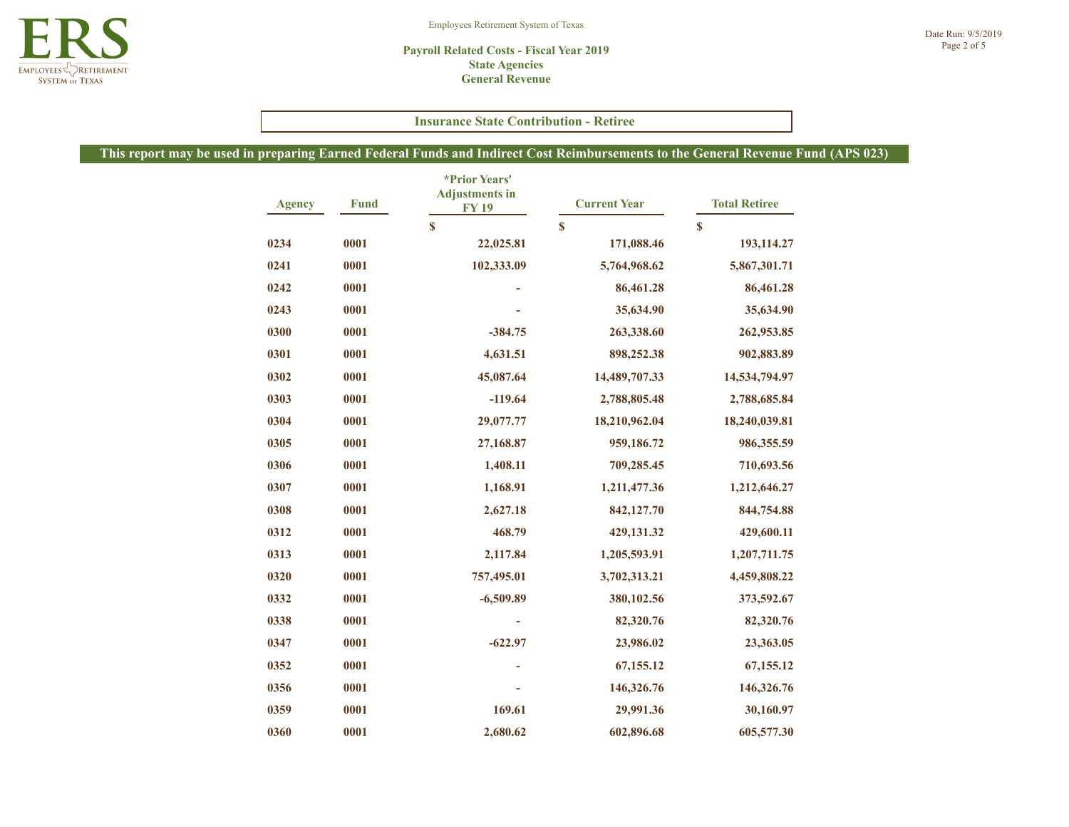#### **Payroll Related Costs - Fiscal Year 2019 State Agencies General Revenue**

#### **Insurance State Contribution - Retiree**

| <b>Agency</b> | <b>Fund</b> | *Prior Years'<br><b>Adjustments in</b><br><b>FY19</b><br>\$ | <b>Current Year</b> | <b>Total Retiree</b><br>\$ |
|---------------|-------------|-------------------------------------------------------------|---------------------|----------------------------|
|               |             |                                                             | \$                  |                            |
| 0234          | 0001        | 22,025.81                                                   | 171,088.46          | 193,114.27                 |
| 0241          | 0001        | 102,333.09                                                  | 5,764,968.62        | 5,867,301.71               |
| 0242          | 0001        |                                                             | 86,461.28           | 86,461.28                  |
| 0243          | 0001        |                                                             | 35,634.90           | 35,634.90                  |
| 0300          | 0001        | $-384.75$                                                   | 263,338.60          | 262,953.85                 |
| 0301          | 0001        | 4,631.51                                                    | 898,252.38          | 902,883.89                 |
| 0302          | 0001        | 45,087.64                                                   | 14,489,707.33       | 14,534,794.97              |
| 0303          | 0001        | $-119.64$                                                   | 2,788,805.48        | 2,788,685.84               |
| 0304          | 0001        | 29,077.77                                                   | 18,210,962.04       | 18,240,039.81              |
| 0305          | 0001        | 27,168.87                                                   | 959,186.72          | 986,355.59                 |
| 0306          | 0001        | 1,408.11                                                    | 709,285.45          | 710,693.56                 |
| 0307          | 0001        | 1,168.91                                                    | 1,211,477.36        | 1,212,646.27               |
| 0308          | 0001        | 2,627.18                                                    | 842,127.70          | 844,754.88                 |
| 0312          | 0001        | 468.79                                                      | 429,131.32          | 429,600.11                 |
| 0313          | 0001        | 2,117.84                                                    | 1,205,593.91        | 1,207,711.75               |
| 0320          | 0001        | 757,495.01                                                  | 3,702,313.21        | 4,459,808.22               |
| 0332          | 0001        | $-6,509.89$                                                 | 380,102.56          | 373,592.67                 |
| 0338          | 0001        |                                                             | 82,320.76           | 82,320.76                  |
| 0347          | 0001        | $-622.97$                                                   | 23,986.02           | 23,363.05                  |
| 0352          | 0001        |                                                             | 67,155.12           | 67,155.12                  |
| 0356          | 0001        |                                                             | 146,326.76          | 146,326.76                 |
| 0359          | 0001        | 169.61                                                      | 29,991.36           | 30,160.97                  |
| 0360          | 0001        | 2,680.62                                                    | 602,896.68          | 605,577.30                 |

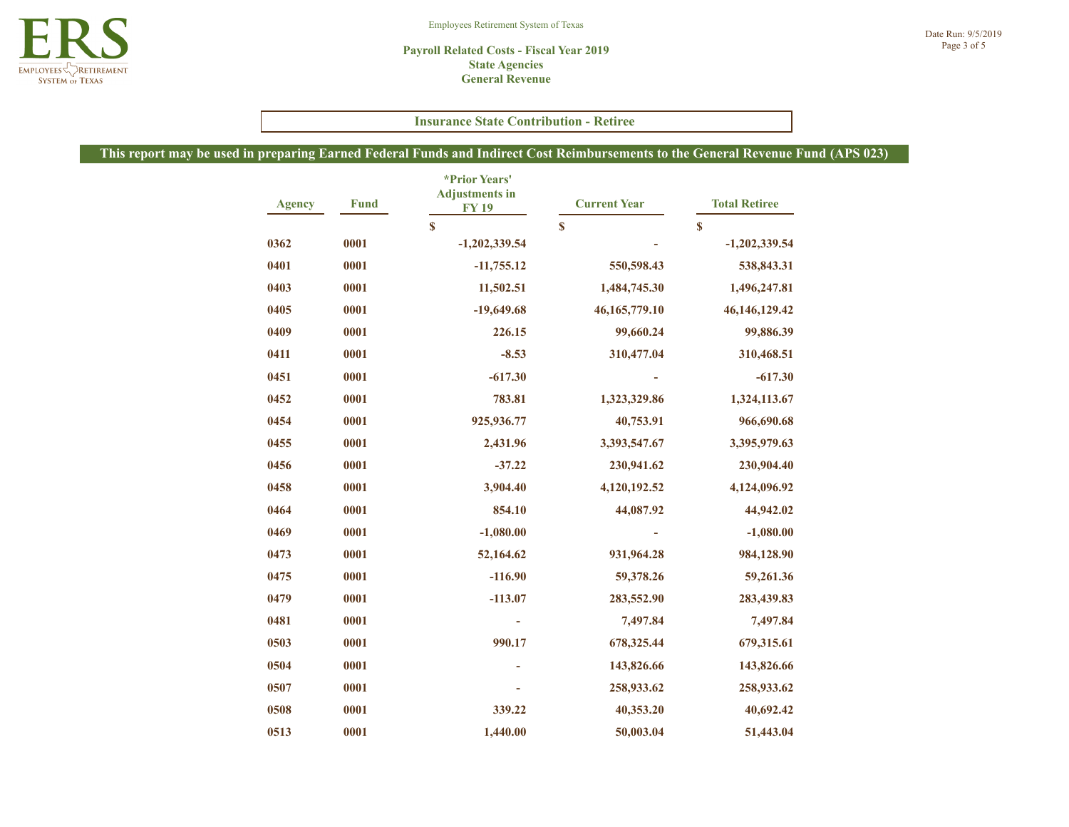#### Employees Retirement System of Texas

#### **Payroll Related Costs - Fiscal Year 2019 State Agencies General Revenue**

## **Insurance State Contribution - Retiree**

| <b>Agency</b> | <b>Fund</b> | *Prior Years'<br><b>Adjustments</b> in<br><b>FY19</b><br>\$ | <b>Current Year</b> | <b>Total Retiree</b> |
|---------------|-------------|-------------------------------------------------------------|---------------------|----------------------|
|               |             |                                                             | $\mathbf s$         | $\mathbf S$          |
| 0362          | 0001        | $-1,202,339.54$                                             |                     | $-1,202,339.54$      |
| 0401          | 0001        | $-11,755.12$                                                | 550,598.43          | 538,843.31           |
| 0403          | 0001        | 11,502.51                                                   | 1,484,745.30        | 1,496,247.81         |
| 0405          | 0001        | $-19,649.68$                                                | 46, 165, 779. 10    | 46, 146, 129. 42     |
| 0409          | 0001        | 226.15                                                      | 99,660.24           | 99,886.39            |
| 0411          | 0001        | $-8.53$                                                     | 310,477.04          | 310,468.51           |
| 0451          | 0001        | $-617.30$                                                   |                     | $-617.30$            |
| 0452          | 0001        | 783.81                                                      | 1,323,329.86        | 1,324,113.67         |
| 0454          | 0001        | 925,936.77                                                  | 40,753.91           | 966,690.68           |
| 0455          | 0001        | 2,431.96                                                    | 3,393,547.67        | 3,395,979.63         |
| 0456          | 0001        | $-37.22$                                                    | 230,941.62          | 230,904.40           |
| 0458          | 0001        | 3,904.40                                                    | 4,120,192.52        | 4,124,096.92         |
| 0464          | 0001        | 854.10                                                      | 44,087.92           | 44,942.02            |
| 0469          | 0001        | $-1,080.00$                                                 |                     | $-1,080.00$          |
| 0473          | 0001        | 52,164.62                                                   | 931,964.28          | 984,128.90           |
| 0475          | 0001        | $-116.90$                                                   | 59,378.26           | 59,261.36            |
| 0479          | 0001        | $-113.07$                                                   | 283,552.90          | 283,439.83           |
| 0481          | 0001        |                                                             | 7,497.84            | 7,497.84             |
| 0503          | 0001        | 990.17                                                      | 678,325.44          | 679,315.61           |
| 0504          | 0001        |                                                             | 143,826.66          | 143,826.66           |
| 0507          | 0001        |                                                             | 258,933.62          | 258,933.62           |
| 0508          | 0001        | 339.22                                                      | 40,353.20           | 40,692.42            |
| 0513          | 0001        | 1,440.00                                                    | 50,003.04           | 51,443.04            |

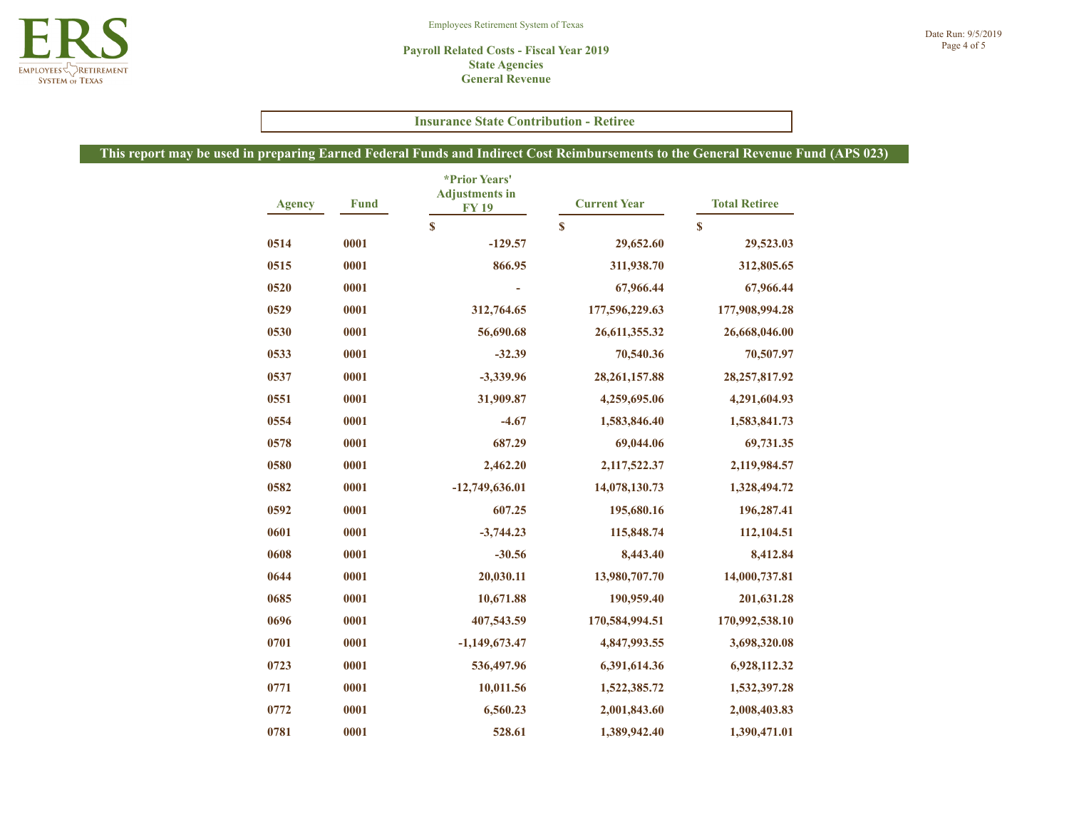#### Employees Retirement System of Texas

#### **Payroll Related Costs - Fiscal Year 2019 State Agencies General Revenue**

## **Insurance State Contribution - Retiree**

| <b>Agency</b> | <b>Fund</b> | *Prior Years'<br><b>Adjustments in</b><br><b>FY19</b><br>\$ | <b>Current Year</b> | <b>Total Retiree</b> |  |
|---------------|-------------|-------------------------------------------------------------|---------------------|----------------------|--|
|               |             |                                                             | $\mathbf s$         | $\mathbf S$          |  |
| 0514          | 0001        | $-129.57$                                                   | 29,652.60           | 29,523.03            |  |
| 0515          | 0001        | 866.95                                                      | 311,938.70          | 312,805.65           |  |
| 0520          | 0001        |                                                             | 67,966.44           | 67,966.44            |  |
| 0529          | 0001        | 312,764.65                                                  | 177,596,229.63      | 177,908,994.28       |  |
| 0530          | 0001        | 56,690.68                                                   | 26,611,355.32       | 26,668,046.00        |  |
| 0533          | 0001        | $-32.39$                                                    | 70,540.36           | 70,507.97            |  |
| 0537          | 0001        | $-3,339.96$                                                 | 28, 261, 157.88     | 28, 257, 817. 92     |  |
| 0551          | 0001        | 31,909.87                                                   | 4,259,695.06        | 4,291,604.93         |  |
| 0554          | 0001        | $-4.67$                                                     | 1,583,846.40        | 1,583,841.73         |  |
| 0578          | 0001        | 687.29                                                      | 69,044.06           | 69,731.35            |  |
| 0580          | 0001        | 2,462.20                                                    | 2,117,522.37        | 2,119,984.57         |  |
| 0582          | 0001        | $-12,749,636.01$                                            | 14,078,130.73       | 1,328,494.72         |  |
| 0592          | 0001        | 607.25                                                      | 195,680.16          | 196,287.41           |  |
| 0601          | 0001        | $-3,744.23$                                                 | 115,848.74          | 112,104.51           |  |
| 0608          | 0001        | $-30.56$                                                    | 8,443.40            | 8,412.84             |  |
| 0644          | 0001        | 20,030.11                                                   | 13,980,707.70       | 14,000,737.81        |  |
| 0685          | 0001        | 10,671.88                                                   | 190,959.40          | 201,631.28           |  |
| 0696          | 0001        | 407,543.59                                                  | 170,584,994.51      | 170,992,538.10       |  |
| 0701          | 0001        | $-1,149,673.47$                                             | 4,847,993.55        | 3,698,320.08         |  |
| 0723          | 0001        | 536,497.96                                                  | 6,391,614.36        | 6,928,112.32         |  |
| 0771          | 0001        | 10,011.56                                                   | 1,522,385.72        | 1,532,397.28         |  |
| 0772          | 0001        | 6,560.23                                                    | 2,001,843.60        | 2,008,403.83         |  |
| 0781          | 0001        | 528.61                                                      | 1,389,942.40        | 1,390,471.01         |  |